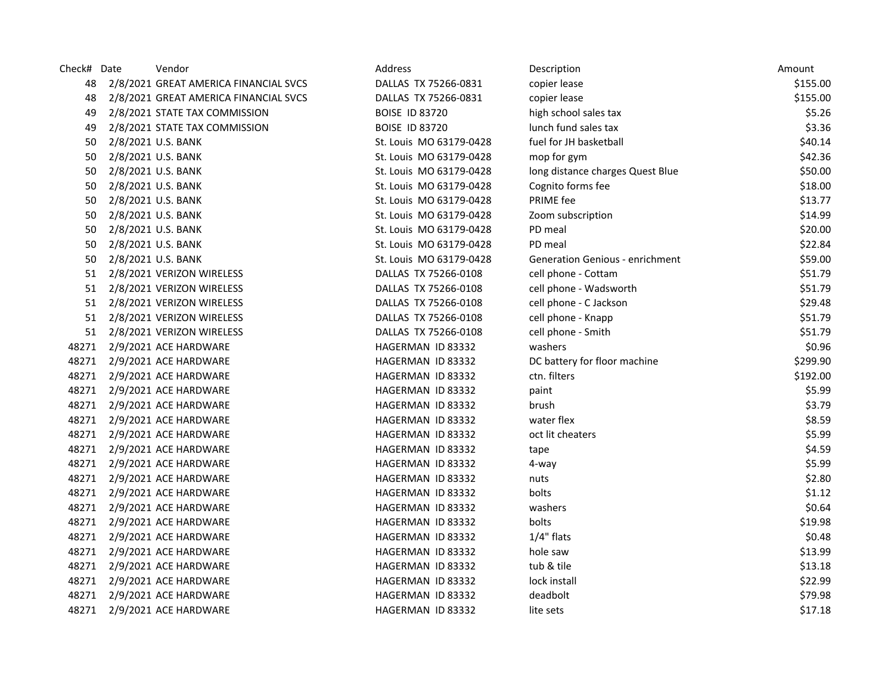| Check# Date | Vendor                                | Address                 | Description                            | Amount   |
|-------------|---------------------------------------|-------------------------|----------------------------------------|----------|
| 48          | 2/8/2021 GREAT AMERICA FINANCIAL SVCS | DALLAS TX 75266-0831    | copier lease                           | \$155.00 |
| 48          | 2/8/2021 GREAT AMERICA FINANCIAL SVCS | DALLAS TX 75266-0831    | copier lease                           | \$155.00 |
| 49          | 2/8/2021 STATE TAX COMMISSION         | <b>BOISE ID 83720</b>   | high school sales tax                  | \$5.26   |
| 49          | 2/8/2021 STATE TAX COMMISSION         | <b>BOISE ID 83720</b>   | lunch fund sales tax                   | \$3.36   |
| 50          | 2/8/2021 U.S. BANK                    | St. Louis MO 63179-0428 | fuel for JH basketball                 | \$40.14  |
| 50          | 2/8/2021 U.S. BANK                    | St. Louis MO 63179-0428 | mop for gym                            | \$42.36  |
| 50          | 2/8/2021 U.S. BANK                    | St. Louis MO 63179-0428 | long distance charges Quest Blue       | \$50.00  |
| 50          | 2/8/2021 U.S. BANK                    | St. Louis MO 63179-0428 | Cognito forms fee                      | \$18.00  |
| 50          | 2/8/2021 U.S. BANK                    | St. Louis MO 63179-0428 | PRIME fee                              | \$13.77  |
| 50          | 2/8/2021 U.S. BANK                    | St. Louis MO 63179-0428 | Zoom subscription                      | \$14.99  |
| 50          | 2/8/2021 U.S. BANK                    | St. Louis MO 63179-0428 | PD meal                                | \$20.00  |
| 50          | 2/8/2021 U.S. BANK                    | St. Louis MO 63179-0428 | PD meal                                | \$22.84  |
| 50          | 2/8/2021 U.S. BANK                    | St. Louis MO 63179-0428 | <b>Generation Genious - enrichment</b> | \$59.00  |
| 51          | 2/8/2021 VERIZON WIRELESS             | DALLAS TX 75266-0108    | cell phone - Cottam                    | \$51.79  |
| 51          | 2/8/2021 VERIZON WIRELESS             | DALLAS TX 75266-0108    | cell phone - Wadsworth                 | \$51.79  |
| 51          | 2/8/2021 VERIZON WIRELESS             | DALLAS TX 75266-0108    | cell phone - C Jackson                 | \$29.48  |
| 51          | 2/8/2021 VERIZON WIRELESS             | DALLAS TX 75266-0108    | cell phone - Knapp                     | \$51.79  |
| 51          | 2/8/2021 VERIZON WIRELESS             | DALLAS TX 75266-0108    | cell phone - Smith                     | \$51.79  |
| 48271       | 2/9/2021 ACE HARDWARE                 | HAGERMAN ID 83332       | washers                                | \$0.96   |
| 48271       | 2/9/2021 ACE HARDWARE                 | HAGERMAN ID 83332       | DC battery for floor machine           | \$299.90 |
| 48271       | 2/9/2021 ACE HARDWARE                 | HAGERMAN ID 83332       | ctn. filters                           | \$192.00 |
| 48271       | 2/9/2021 ACE HARDWARE                 | HAGERMAN ID 83332       | paint                                  | \$5.99   |
| 48271       | 2/9/2021 ACE HARDWARE                 | HAGERMAN ID 83332       | brush                                  | \$3.79   |
| 48271       | 2/9/2021 ACE HARDWARE                 | HAGERMAN ID 83332       | water flex                             | \$8.59   |
| 48271       | 2/9/2021 ACE HARDWARE                 | HAGERMAN ID 83332       | oct lit cheaters                       | \$5.99   |
| 48271       | 2/9/2021 ACE HARDWARE                 | HAGERMAN ID 83332       | tape                                   | \$4.59   |
| 48271       | 2/9/2021 ACE HARDWARE                 | HAGERMAN ID 83332       | 4-way                                  | \$5.99   |
| 48271       | 2/9/2021 ACE HARDWARE                 | HAGERMAN ID 83332       | nuts                                   | \$2.80   |
| 48271       | 2/9/2021 ACE HARDWARE                 | HAGERMAN ID 83332       | bolts                                  | \$1.12   |
| 48271       | 2/9/2021 ACE HARDWARE                 | HAGERMAN ID 83332       | washers                                | \$0.64   |
| 48271       | 2/9/2021 ACE HARDWARE                 | HAGERMAN ID 83332       | bolts                                  | \$19.98  |
| 48271       | 2/9/2021 ACE HARDWARE                 | HAGERMAN ID 83332       | $1/4"$ flats                           | \$0.48   |
| 48271       | 2/9/2021 ACE HARDWARE                 | HAGERMAN ID 83332       | hole saw                               | \$13.99  |
| 48271       | 2/9/2021 ACE HARDWARE                 | HAGERMAN ID 83332       | tub & tile                             | \$13.18  |
| 48271       | 2/9/2021 ACE HARDWARE                 | HAGERMAN ID 83332       | lock install                           | \$22.99  |
| 48271       | 2/9/2021 ACE HARDWARE                 | HAGERMAN ID 83332       | deadbolt                               | \$79.98  |
| 48271       | 2/9/2021 ACE HARDWARE                 | HAGERMAN ID 83332       | lite sets                              | \$17.18  |
|             |                                       |                         |                                        |          |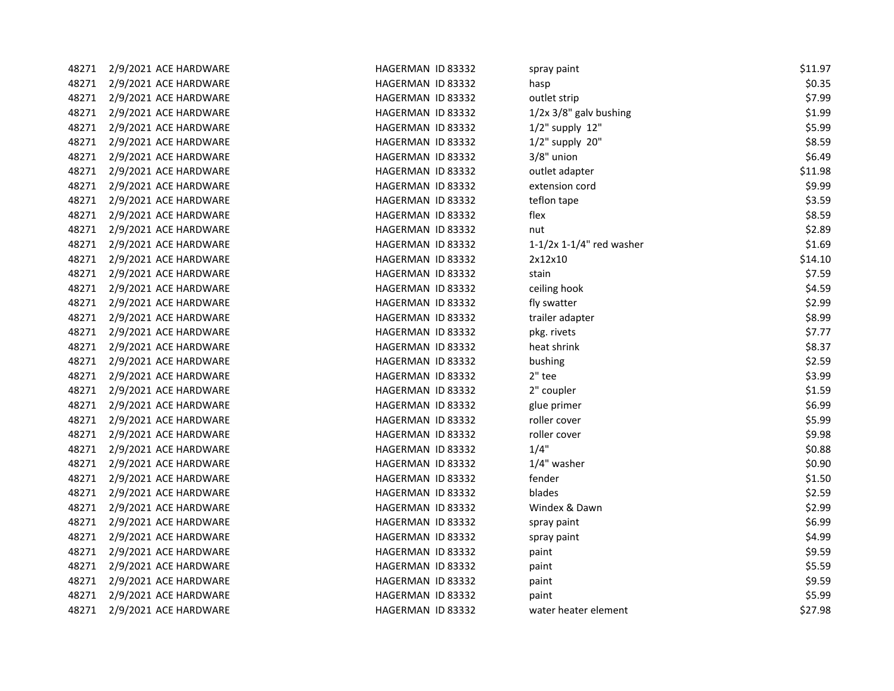| 48271 | 2/9/2021 ACE HARDWARE | HAGERMAN ID 83332 | spray paint                | \$11.97 |
|-------|-----------------------|-------------------|----------------------------|---------|
| 48271 | 2/9/2021 ACE HARDWARE | HAGERMAN ID 83332 | hasp                       | \$0.35  |
| 48271 | 2/9/2021 ACE HARDWARE | HAGERMAN ID 83332 | outlet strip               | \$7.99  |
| 48271 | 2/9/2021 ACE HARDWARE | HAGERMAN ID 83332 | $1/2x$ 3/8" galv bushing   | \$1.99  |
| 48271 | 2/9/2021 ACE HARDWARE | HAGERMAN ID 83332 | $1/2$ " supply $12$ "      | \$5.99  |
| 48271 | 2/9/2021 ACE HARDWARE | HAGERMAN ID 83332 | $1/2$ " supply $20$ "      | \$8.59  |
| 48271 | 2/9/2021 ACE HARDWARE | HAGERMAN ID 83332 | $3/8"$ union               | \$6.49  |
| 48271 | 2/9/2021 ACE HARDWARE | HAGERMAN ID 83332 | outlet adapter             | \$11.98 |
| 48271 | 2/9/2021 ACE HARDWARE | HAGERMAN ID 83332 | extension cord             | \$9.99  |
| 48271 | 2/9/2021 ACE HARDWARE | HAGERMAN ID 83332 | teflon tape                | \$3.59  |
| 48271 | 2/9/2021 ACE HARDWARE | HAGERMAN ID 83332 | flex                       | \$8.59  |
| 48271 | 2/9/2021 ACE HARDWARE | HAGERMAN ID 83332 | nut                        | \$2.89  |
| 48271 | 2/9/2021 ACE HARDWARE | HAGERMAN ID 83332 | $1-1/2x$ 1-1/4" red washer | \$1.69  |
| 48271 | 2/9/2021 ACE HARDWARE | HAGERMAN ID 83332 | 2x12x10                    | \$14.10 |
| 48271 | 2/9/2021 ACE HARDWARE | HAGERMAN ID 83332 | stain                      | \$7.59  |
| 48271 | 2/9/2021 ACE HARDWARE | HAGERMAN ID 83332 | ceiling hook               | \$4.59  |
| 48271 | 2/9/2021 ACE HARDWARE | HAGERMAN ID 83332 | fly swatter                | \$2.99  |
| 48271 | 2/9/2021 ACE HARDWARE | HAGERMAN ID 83332 | trailer adapter            | \$8.99  |
| 48271 | 2/9/2021 ACE HARDWARE | HAGERMAN ID 83332 | pkg. rivets                | \$7.77  |
| 48271 | 2/9/2021 ACE HARDWARE | HAGERMAN ID 83332 | heat shrink                | \$8.37  |
| 48271 | 2/9/2021 ACE HARDWARE | HAGERMAN ID 83332 | bushing                    | \$2.59  |
| 48271 | 2/9/2021 ACE HARDWARE | HAGERMAN ID 83332 | 2" tee                     | \$3.99  |
| 48271 | 2/9/2021 ACE HARDWARE | HAGERMAN ID 83332 | 2" coupler                 | \$1.59  |
| 48271 | 2/9/2021 ACE HARDWARE | HAGERMAN ID 83332 | glue primer                | \$6.99  |
| 48271 | 2/9/2021 ACE HARDWARE | HAGERMAN ID 83332 | roller cover               | \$5.99  |
| 48271 | 2/9/2021 ACE HARDWARE | HAGERMAN ID 83332 | roller cover               | \$9.98  |
| 48271 | 2/9/2021 ACE HARDWARE | HAGERMAN ID 83332 | 1/4"                       | \$0.88  |
| 48271 | 2/9/2021 ACE HARDWARE | HAGERMAN ID 83332 | 1/4" washer                | \$0.90  |
| 48271 | 2/9/2021 ACE HARDWARE | HAGERMAN ID 83332 | fender                     | \$1.50  |
| 48271 | 2/9/2021 ACE HARDWARE | HAGERMAN ID 83332 | blades                     | \$2.59  |
| 48271 | 2/9/2021 ACE HARDWARE | HAGERMAN ID 83332 | Windex & Dawn              | \$2.99  |
| 48271 | 2/9/2021 ACE HARDWARE | HAGERMAN ID 83332 | spray paint                | \$6.99  |
| 48271 | 2/9/2021 ACE HARDWARE | HAGERMAN ID 83332 | spray paint                | \$4.99  |
| 48271 | 2/9/2021 ACE HARDWARE | HAGERMAN ID 83332 | paint                      | \$9.59  |
| 48271 | 2/9/2021 ACE HARDWARE | HAGERMAN ID 83332 | paint                      | \$5.59  |
| 48271 | 2/9/2021 ACE HARDWARE | HAGERMAN ID 83332 | paint                      | \$9.59  |
| 48271 | 2/9/2021 ACE HARDWARE | HAGERMAN ID 83332 | paint                      | \$5.99  |
| 48271 | 2/9/2021 ACE HARDWARE | HAGERMAN ID 83332 | water heater element       | \$27.98 |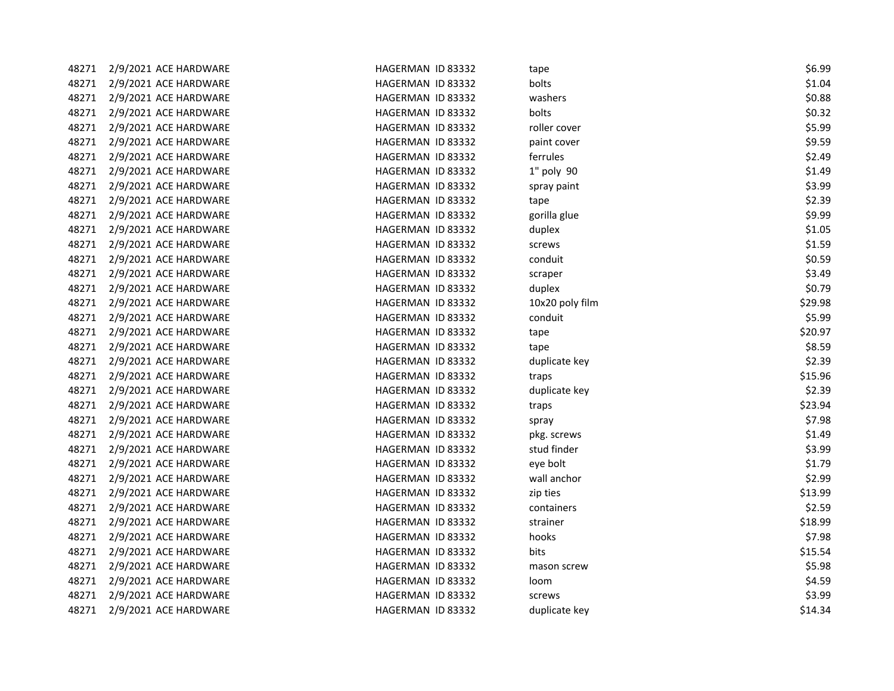| 48271 | 2/9/2021 ACE HARDWARE | HAGERMAN ID 83332 | tape            | \$6.99  |
|-------|-----------------------|-------------------|-----------------|---------|
| 48271 | 2/9/2021 ACE HARDWARE | HAGERMAN ID 83332 | bolts           | \$1.04  |
| 48271 | 2/9/2021 ACE HARDWARE | HAGERMAN ID 83332 | washers         | \$0.88  |
| 48271 | 2/9/2021 ACE HARDWARE | HAGERMAN ID 83332 | bolts           | \$0.32  |
| 48271 | 2/9/2021 ACE HARDWARE | HAGERMAN ID 83332 | roller cover    | \$5.99  |
| 48271 | 2/9/2021 ACE HARDWARE | HAGERMAN ID 83332 | paint cover     | \$9.59  |
| 48271 | 2/9/2021 ACE HARDWARE | HAGERMAN ID 83332 | ferrules        | \$2.49  |
| 48271 | 2/9/2021 ACE HARDWARE | HAGERMAN ID 83332 | 1" poly 90      | \$1.49  |
| 48271 | 2/9/2021 ACE HARDWARE | HAGERMAN ID 83332 | spray paint     | \$3.99  |
| 48271 | 2/9/2021 ACE HARDWARE | HAGERMAN ID 83332 | tape            | \$2.39  |
| 48271 | 2/9/2021 ACE HARDWARE | HAGERMAN ID 83332 | gorilla glue    | \$9.99  |
| 48271 | 2/9/2021 ACE HARDWARE | HAGERMAN ID 83332 | duplex          | \$1.05  |
| 48271 | 2/9/2021 ACE HARDWARE | HAGERMAN ID 83332 | screws          | \$1.59  |
| 48271 | 2/9/2021 ACE HARDWARE | HAGERMAN ID 83332 | conduit         | \$0.59  |
| 48271 | 2/9/2021 ACE HARDWARE | HAGERMAN ID 83332 | scraper         | \$3.49  |
| 48271 | 2/9/2021 ACE HARDWARE | HAGERMAN ID 83332 | duplex          | \$0.79  |
| 48271 | 2/9/2021 ACE HARDWARE | HAGERMAN ID 83332 | 10x20 poly film | \$29.98 |
| 48271 | 2/9/2021 ACE HARDWARE | HAGERMAN ID 83332 | conduit         | \$5.99  |
| 48271 | 2/9/2021 ACE HARDWARE | HAGERMAN ID 83332 | tape            | \$20.97 |
| 48271 | 2/9/2021 ACE HARDWARE | HAGERMAN ID 83332 | tape            | \$8.59  |
| 48271 | 2/9/2021 ACE HARDWARE | HAGERMAN ID 83332 | duplicate key   | \$2.39  |
| 48271 | 2/9/2021 ACE HARDWARE | HAGERMAN ID 83332 | traps           | \$15.96 |
| 48271 | 2/9/2021 ACE HARDWARE | HAGERMAN ID 83332 | duplicate key   | \$2.39  |
| 48271 | 2/9/2021 ACE HARDWARE | HAGERMAN ID 83332 | traps           | \$23.94 |
| 48271 | 2/9/2021 ACE HARDWARE | HAGERMAN ID 83332 | spray           | \$7.98  |
| 48271 | 2/9/2021 ACE HARDWARE | HAGERMAN ID 83332 | pkg. screws     | \$1.49  |
| 48271 | 2/9/2021 ACE HARDWARE | HAGERMAN ID 83332 | stud finder     | \$3.99  |
| 48271 | 2/9/2021 ACE HARDWARE | HAGERMAN ID 83332 | eye bolt        | \$1.79  |
| 48271 | 2/9/2021 ACE HARDWARE | HAGERMAN ID 83332 | wall anchor     | \$2.99  |
| 48271 | 2/9/2021 ACE HARDWARE | HAGERMAN ID 83332 | zip ties        | \$13.99 |
| 48271 | 2/9/2021 ACE HARDWARE | HAGERMAN ID 83332 | containers      | \$2.59  |
| 48271 | 2/9/2021 ACE HARDWARE | HAGERMAN ID 83332 | strainer        | \$18.99 |
| 48271 | 2/9/2021 ACE HARDWARE | HAGERMAN ID 83332 | hooks           | \$7.98  |
| 48271 | 2/9/2021 ACE HARDWARE | HAGERMAN ID 83332 | bits            | \$15.54 |
| 48271 | 2/9/2021 ACE HARDWARE | HAGERMAN ID 83332 | mason screw     | \$5.98  |
| 48271 | 2/9/2021 ACE HARDWARE | HAGERMAN ID 83332 | loom            | \$4.59  |
| 48271 | 2/9/2021 ACE HARDWARE | HAGERMAN ID 83332 | screws          | \$3.99  |
| 48271 | 2/9/2021 ACE HARDWARE | HAGERMAN ID 83332 | duplicate key   | \$14.34 |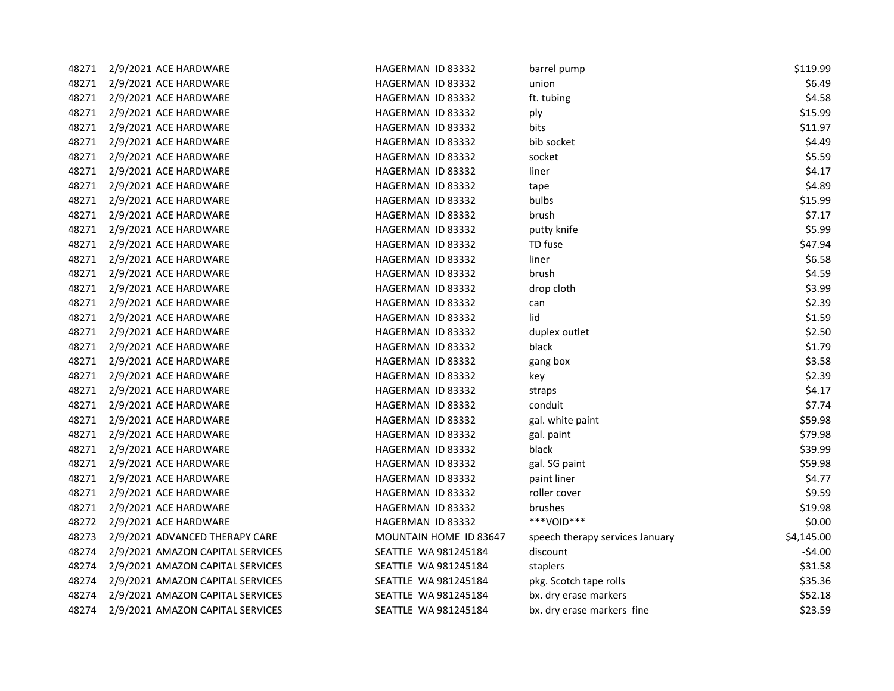| 48271 | 2/9/2021 ACE HARDWARE            | HAGERMAN ID 83332        | barrel pump                     | \$119.99   |
|-------|----------------------------------|--------------------------|---------------------------------|------------|
| 48271 | 2/9/2021 ACE HARDWARE            | HAGERMAN ID 83332        | union                           | \$6.49     |
| 48271 | 2/9/2021 ACE HARDWARE            | HAGERMAN ID 83332        | ft. tubing                      | \$4.58     |
| 48271 | 2/9/2021 ACE HARDWARE            | <b>HAGERMAN ID 83332</b> | ply                             | \$15.99    |
| 48271 | 2/9/2021 ACE HARDWARE            | HAGERMAN ID 83332        | bits                            | \$11.97    |
| 48271 | 2/9/2021 ACE HARDWARE            | HAGERMAN ID 83332        | bib socket                      | \$4.49     |
| 48271 | 2/9/2021 ACE HARDWARE            | HAGERMAN ID 83332        | socket                          | \$5.59     |
| 48271 | 2/9/2021 ACE HARDWARE            | HAGERMAN ID 83332        | liner                           | \$4.17     |
| 48271 | 2/9/2021 ACE HARDWARE            | HAGERMAN ID 83332        | tape                            | \$4.89     |
| 48271 | 2/9/2021 ACE HARDWARE            | HAGERMAN ID 83332        | bulbs                           | \$15.99    |
| 48271 | 2/9/2021 ACE HARDWARE            | HAGERMAN ID 83332        | brush                           | \$7.17     |
| 48271 | 2/9/2021 ACE HARDWARE            | HAGERMAN ID 83332        | putty knife                     | \$5.99     |
| 48271 | 2/9/2021 ACE HARDWARE            | HAGERMAN ID 83332        | TD fuse                         | \$47.94    |
| 48271 | 2/9/2021 ACE HARDWARE            | HAGERMAN ID 83332        | liner                           | \$6.58     |
| 48271 | 2/9/2021 ACE HARDWARE            | HAGERMAN ID 83332        | brush                           | \$4.59     |
| 48271 | 2/9/2021 ACE HARDWARE            | HAGERMAN ID 83332        | drop cloth                      | \$3.99     |
| 48271 | 2/9/2021 ACE HARDWARE            | HAGERMAN ID 83332        | can                             | \$2.39     |
| 48271 | 2/9/2021 ACE HARDWARE            | HAGERMAN ID 83332        | lid                             | \$1.59     |
| 48271 | 2/9/2021 ACE HARDWARE            | HAGERMAN ID 83332        | duplex outlet                   | \$2.50     |
| 48271 | 2/9/2021 ACE HARDWARE            | HAGERMAN ID 83332        | black                           | \$1.79     |
| 48271 | 2/9/2021 ACE HARDWARE            | HAGERMAN ID 83332        | gang box                        | \$3.58     |
| 48271 | 2/9/2021 ACE HARDWARE            | HAGERMAN ID 83332        | key                             | \$2.39     |
| 48271 | 2/9/2021 ACE HARDWARE            | HAGERMAN ID 83332        | straps                          | \$4.17     |
| 48271 | 2/9/2021 ACE HARDWARE            | HAGERMAN ID 83332        | conduit                         | \$7.74     |
| 48271 | 2/9/2021 ACE HARDWARE            | HAGERMAN ID 83332        | gal. white paint                | \$59.98    |
| 48271 | 2/9/2021 ACE HARDWARE            | HAGERMAN ID 83332        | gal. paint                      | \$79.98    |
| 48271 | 2/9/2021 ACE HARDWARE            | HAGERMAN ID 83332        | black                           | \$39.99    |
| 48271 | 2/9/2021 ACE HARDWARE            | HAGERMAN ID 83332        | gal. SG paint                   | \$59.98    |
| 48271 | 2/9/2021 ACE HARDWARE            | HAGERMAN ID 83332        | paint liner                     | \$4.77     |
| 48271 | 2/9/2021 ACE HARDWARE            | HAGERMAN ID 83332        | roller cover                    | \$9.59     |
| 48271 | 2/9/2021 ACE HARDWARE            | HAGERMAN ID 83332        | brushes                         | \$19.98    |
| 48272 | 2/9/2021 ACE HARDWARE            | HAGERMAN ID 83332        | ***VOID***                      | \$0.00     |
| 48273 | 2/9/2021 ADVANCED THERAPY CARE   | MOUNTAIN HOME ID 83647   | speech therapy services January | \$4,145.00 |
| 48274 | 2/9/2021 AMAZON CAPITAL SERVICES | SEATTLE WA 981245184     | discount                        | $-$4.00$   |
| 48274 | 2/9/2021 AMAZON CAPITAL SERVICES | SEATTLE WA 981245184     | staplers                        | \$31.58    |
| 48274 | 2/9/2021 AMAZON CAPITAL SERVICES | SEATTLE WA 981245184     | pkg. Scotch tape rolls          | \$35.36    |
| 48274 | 2/9/2021 AMAZON CAPITAL SERVICES | SEATTLE WA 981245184     | bx. dry erase markers           | \$52.18    |
| 48274 | 2/9/2021 AMAZON CAPITAL SERVICES | SEATTLE WA 981245184     | bx. dry erase markers fine      | \$23.59    |
|       |                                  |                          |                                 |            |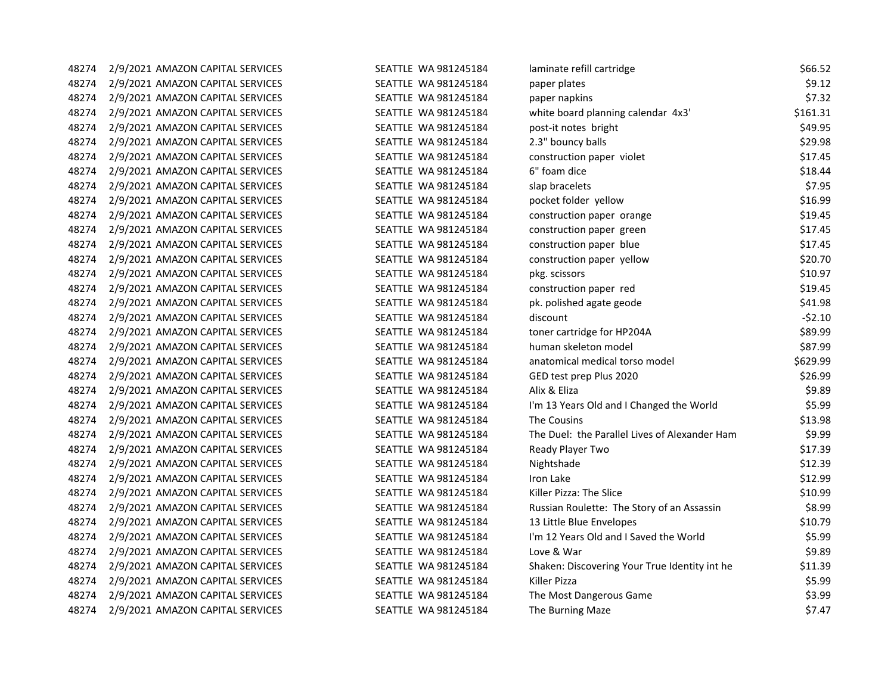| 48274 | 2/9/2021 AMAZON CAPITAL SERVICES | SEATTLE WA 981245184        | laminate refill cartridge                     | \$66.52  |
|-------|----------------------------------|-----------------------------|-----------------------------------------------|----------|
| 48274 | 2/9/2021 AMAZON CAPITAL SERVICES | SEATTLE WA 981245184        | paper plates                                  | \$9.12   |
| 48274 | 2/9/2021 AMAZON CAPITAL SERVICES | SEATTLE WA 981245184        | paper napkins                                 | \$7.32   |
| 48274 | 2/9/2021 AMAZON CAPITAL SERVICES | SEATTLE WA 981245184        | white board planning calendar 4x3'            | \$161.31 |
| 48274 | 2/9/2021 AMAZON CAPITAL SERVICES | SEATTLE WA 981245184        | post-it notes bright                          | \$49.95  |
| 48274 | 2/9/2021 AMAZON CAPITAL SERVICES | SEATTLE WA 981245184        | 2.3" bouncy balls                             | \$29.98  |
| 48274 | 2/9/2021 AMAZON CAPITAL SERVICES | <b>SEATTLE WA 981245184</b> | construction paper violet                     | \$17.45  |
| 48274 | 2/9/2021 AMAZON CAPITAL SERVICES | SEATTLE WA 981245184        | 6" foam dice                                  | \$18.44  |
| 48274 | 2/9/2021 AMAZON CAPITAL SERVICES | SEATTLE WA 981245184        | slap bracelets                                | \$7.95   |
| 48274 | 2/9/2021 AMAZON CAPITAL SERVICES | SEATTLE WA 981245184        | pocket folder yellow                          | \$16.99  |
| 48274 | 2/9/2021 AMAZON CAPITAL SERVICES | SEATTLE WA 981245184        | construction paper orange                     | \$19.45  |
| 48274 | 2/9/2021 AMAZON CAPITAL SERVICES | SEATTLE WA 981245184        | construction paper green                      | \$17.45  |
| 48274 | 2/9/2021 AMAZON CAPITAL SERVICES | SEATTLE WA 981245184        | construction paper blue                       | \$17.45  |
| 48274 | 2/9/2021 AMAZON CAPITAL SERVICES | SEATTLE WA 981245184        | construction paper yellow                     | \$20.70  |
| 48274 | 2/9/2021 AMAZON CAPITAL SERVICES | SEATTLE WA 981245184        | pkg. scissors                                 | \$10.97  |
| 48274 | 2/9/2021 AMAZON CAPITAL SERVICES | SEATTLE WA 981245184        | construction paper red                        | \$19.45  |
| 48274 | 2/9/2021 AMAZON CAPITAL SERVICES | SEATTLE WA 981245184        | pk. polished agate geode                      | \$41.98  |
| 48274 | 2/9/2021 AMAZON CAPITAL SERVICES | SEATTLE WA 981245184        | discount                                      | $-52.10$ |
| 48274 | 2/9/2021 AMAZON CAPITAL SERVICES | SEATTLE WA 981245184        | toner cartridge for HP204A                    | \$89.99  |
| 48274 | 2/9/2021 AMAZON CAPITAL SERVICES | SEATTLE WA 981245184        | human skeleton model                          | \$87.99  |
| 48274 | 2/9/2021 AMAZON CAPITAL SERVICES | SEATTLE WA 981245184        | anatomical medical torso model                | \$629.99 |
| 48274 | 2/9/2021 AMAZON CAPITAL SERVICES | SEATTLE WA 981245184        | GED test prep Plus 2020                       | \$26.99  |
| 48274 | 2/9/2021 AMAZON CAPITAL SERVICES | SEATTLE WA 981245184        | Alix & Eliza                                  | \$9.89   |
| 48274 | 2/9/2021 AMAZON CAPITAL SERVICES | SEATTLE WA 981245184        | I'm 13 Years Old and I Changed the World      | \$5.99   |
| 48274 | 2/9/2021 AMAZON CAPITAL SERVICES | SEATTLE WA 981245184        | The Cousins                                   | \$13.98  |
| 48274 | 2/9/2021 AMAZON CAPITAL SERVICES | SEATTLE WA 981245184        | The Duel: the Parallel Lives of Alexander Ham | \$9.99   |
| 48274 | 2/9/2021 AMAZON CAPITAL SERVICES | SEATTLE WA 981245184        | Ready Player Two                              | \$17.39  |
| 48274 | 2/9/2021 AMAZON CAPITAL SERVICES | SEATTLE WA 981245184        | Nightshade                                    | \$12.39  |
| 48274 | 2/9/2021 AMAZON CAPITAL SERVICES | SEATTLE WA 981245184        | Iron Lake                                     | \$12.99  |
| 48274 | 2/9/2021 AMAZON CAPITAL SERVICES | SEATTLE WA 981245184        | Killer Pizza: The Slice                       | \$10.99  |
| 48274 | 2/9/2021 AMAZON CAPITAL SERVICES | SEATTLE WA 981245184        | Russian Roulette: The Story of an Assassin    | \$8.99   |
| 48274 | 2/9/2021 AMAZON CAPITAL SERVICES | SEATTLE WA 981245184        | 13 Little Blue Envelopes                      | \$10.79  |
| 48274 | 2/9/2021 AMAZON CAPITAL SERVICES | SEATTLE WA 981245184        | I'm 12 Years Old and I Saved the World        | \$5.99   |
| 48274 | 2/9/2021 AMAZON CAPITAL SERVICES | SEATTLE WA 981245184        | Love & War                                    | \$9.89   |
| 48274 | 2/9/2021 AMAZON CAPITAL SERVICES | SEATTLE WA 981245184        | Shaken: Discovering Your True Identity int he | \$11.39  |
| 48274 | 2/9/2021 AMAZON CAPITAL SERVICES | SEATTLE WA 981245184        | Killer Pizza                                  | \$5.99   |
| 48274 | 2/9/2021 AMAZON CAPITAL SERVICES | SEATTLE WA 981245184        | The Most Dangerous Game                       | \$3.99   |
| 48274 | 2/9/2021 AMAZON CAPITAL SERVICES | SEATTLE WA 981245184        | The Burning Maze                              | \$7.47   |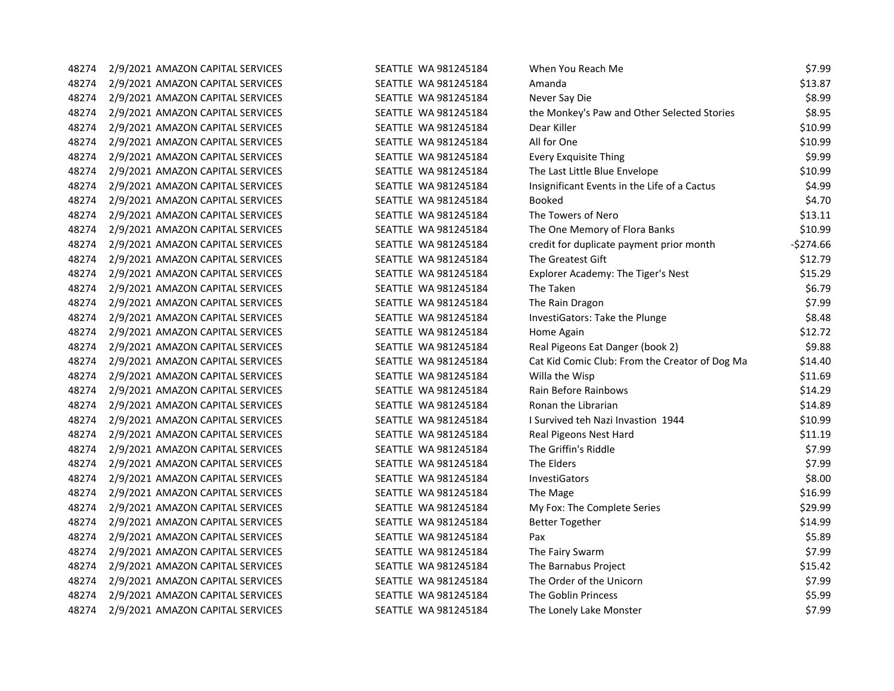| 48274 | 2/9/2021 AMAZON CAPITAL SERVICES | SEATTLE WA 981245184 | When You Reach Me                              | \$7.99     |
|-------|----------------------------------|----------------------|------------------------------------------------|------------|
| 48274 | 2/9/2021 AMAZON CAPITAL SERVICES | SEATTLE WA 981245184 | Amanda                                         | \$13.87    |
| 48274 | 2/9/2021 AMAZON CAPITAL SERVICES | SEATTLE WA 981245184 | Never Say Die                                  | \$8.99     |
| 48274 | 2/9/2021 AMAZON CAPITAL SERVICES | SEATTLE WA 981245184 | the Monkey's Paw and Other Selected Stories    | \$8.95     |
| 48274 | 2/9/2021 AMAZON CAPITAL SERVICES | SEATTLE WA 981245184 | Dear Killer                                    | \$10.99    |
| 48274 | 2/9/2021 AMAZON CAPITAL SERVICES | SEATTLE WA 981245184 | All for One                                    | \$10.99    |
| 48274 | 2/9/2021 AMAZON CAPITAL SERVICES | SEATTLE WA 981245184 | <b>Every Exquisite Thing</b>                   | \$9.99     |
| 48274 | 2/9/2021 AMAZON CAPITAL SERVICES | SEATTLE WA 981245184 | The Last Little Blue Envelope                  | \$10.99    |
| 48274 | 2/9/2021 AMAZON CAPITAL SERVICES | SEATTLE WA 981245184 | Insignificant Events in the Life of a Cactus   | \$4.99     |
| 48274 | 2/9/2021 AMAZON CAPITAL SERVICES | SEATTLE WA 981245184 | <b>Booked</b>                                  | \$4.70     |
| 48274 | 2/9/2021 AMAZON CAPITAL SERVICES | SEATTLE WA 981245184 | The Towers of Nero                             | \$13.11    |
| 48274 | 2/9/2021 AMAZON CAPITAL SERVICES | SEATTLE WA 981245184 | The One Memory of Flora Banks                  | \$10.99    |
| 48274 | 2/9/2021 AMAZON CAPITAL SERVICES | SEATTLE WA 981245184 | credit for duplicate payment prior month       | $-5274.66$ |
| 48274 | 2/9/2021 AMAZON CAPITAL SERVICES | SEATTLE WA 981245184 | The Greatest Gift                              | \$12.79    |
| 48274 | 2/9/2021 AMAZON CAPITAL SERVICES | SEATTLE WA 981245184 | Explorer Academy: The Tiger's Nest             | \$15.29    |
| 48274 | 2/9/2021 AMAZON CAPITAL SERVICES | SEATTLE WA 981245184 | The Taken                                      | \$6.79     |
| 48274 | 2/9/2021 AMAZON CAPITAL SERVICES | SEATTLE WA 981245184 | The Rain Dragon                                | \$7.99     |
| 48274 | 2/9/2021 AMAZON CAPITAL SERVICES | SEATTLE WA 981245184 | InvestiGators: Take the Plunge                 | \$8.48     |
| 48274 | 2/9/2021 AMAZON CAPITAL SERVICES | SEATTLE WA 981245184 | Home Again                                     | \$12.72    |
| 48274 | 2/9/2021 AMAZON CAPITAL SERVICES | SEATTLE WA 981245184 | Real Pigeons Eat Danger (book 2)               | \$9.88     |
| 48274 | 2/9/2021 AMAZON CAPITAL SERVICES | SEATTLE WA 981245184 | Cat Kid Comic Club: From the Creator of Dog Ma | \$14.40    |
| 48274 | 2/9/2021 AMAZON CAPITAL SERVICES | SEATTLE WA 981245184 | Willa the Wisp                                 | \$11.69    |
| 48274 | 2/9/2021 AMAZON CAPITAL SERVICES | SEATTLE WA 981245184 | Rain Before Rainbows                           | \$14.29    |
| 48274 | 2/9/2021 AMAZON CAPITAL SERVICES | SEATTLE WA 981245184 | Ronan the Librarian                            | \$14.89    |
| 48274 | 2/9/2021 AMAZON CAPITAL SERVICES | SEATTLE WA 981245184 | I Survived teh Nazi Invastion 1944             | \$10.99    |
| 48274 | 2/9/2021 AMAZON CAPITAL SERVICES | SEATTLE WA 981245184 | Real Pigeons Nest Hard                         | \$11.19    |
| 48274 | 2/9/2021 AMAZON CAPITAL SERVICES | SEATTLE WA 981245184 | The Griffin's Riddle                           | \$7.99     |
| 48274 | 2/9/2021 AMAZON CAPITAL SERVICES | SEATTLE WA 981245184 | The Elders                                     | \$7.99     |
| 48274 | 2/9/2021 AMAZON CAPITAL SERVICES | SEATTLE WA 981245184 | InvestiGators                                  | \$8.00     |
| 48274 | 2/9/2021 AMAZON CAPITAL SERVICES | SEATTLE WA 981245184 | The Mage                                       | \$16.99    |
| 48274 | 2/9/2021 AMAZON CAPITAL SERVICES | SEATTLE WA 981245184 | My Fox: The Complete Series                    | \$29.99    |
| 48274 | 2/9/2021 AMAZON CAPITAL SERVICES | SEATTLE WA 981245184 | <b>Better Together</b>                         | \$14.99    |
| 48274 | 2/9/2021 AMAZON CAPITAL SERVICES | SEATTLE WA 981245184 | Pax                                            | \$5.89     |
| 48274 | 2/9/2021 AMAZON CAPITAL SERVICES | SEATTLE WA 981245184 | The Fairy Swarm                                | \$7.99     |
| 48274 | 2/9/2021 AMAZON CAPITAL SERVICES | SEATTLE WA 981245184 | The Barnabus Project                           | \$15.42    |
| 48274 | 2/9/2021 AMAZON CAPITAL SERVICES | SEATTLE WA 981245184 | The Order of the Unicorn                       | \$7.99     |
| 48274 | 2/9/2021 AMAZON CAPITAL SERVICES | SEATTLE WA 981245184 | The Goblin Princess                            | \$5.99     |
| 48274 | 2/9/2021 AMAZON CAPITAL SERVICES | SEATTLE WA 981245184 | The Lonely Lake Monster                        | \$7.99     |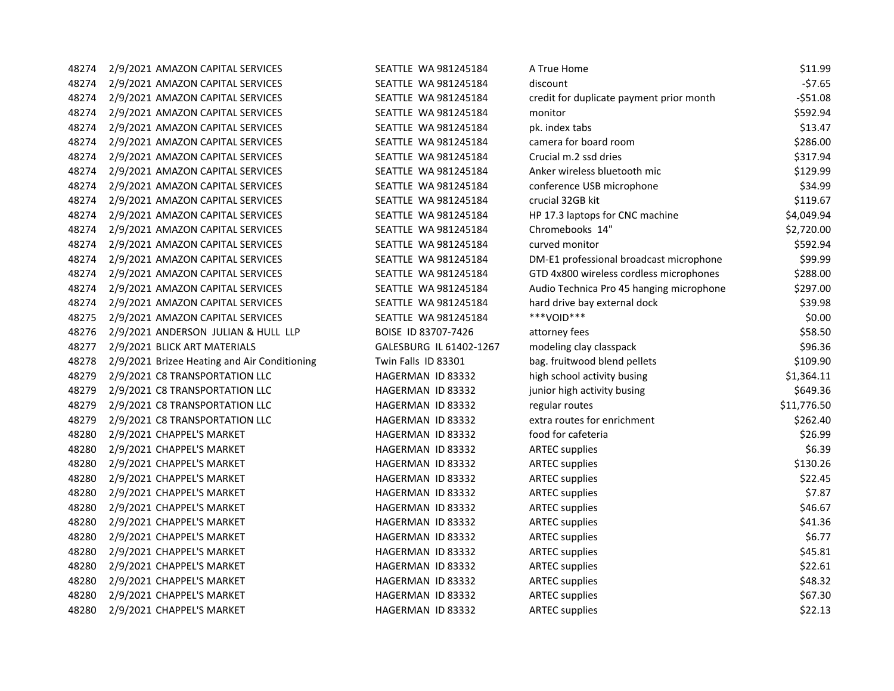| 48274 | 2/9/2021 AMAZON CAPITAL SERVICES             | SEATTLE WA 981245184    | A True Home                              | \$11.99     |
|-------|----------------------------------------------|-------------------------|------------------------------------------|-------------|
| 48274 | 2/9/2021 AMAZON CAPITAL SERVICES             | SEATTLE WA 981245184    | discount                                 | $-57.65$    |
| 48274 | 2/9/2021 AMAZON CAPITAL SERVICES             | SEATTLE WA 981245184    | credit for duplicate payment prior month | $-551.08$   |
| 48274 | 2/9/2021 AMAZON CAPITAL SERVICES             | SEATTLE WA 981245184    | monitor                                  | \$592.94    |
| 48274 | 2/9/2021 AMAZON CAPITAL SERVICES             | SEATTLE WA 981245184    | pk. index tabs                           | \$13.47     |
| 48274 | 2/9/2021 AMAZON CAPITAL SERVICES             | SEATTLE WA 981245184    | camera for board room                    | \$286.00    |
| 48274 | 2/9/2021 AMAZON CAPITAL SERVICES             | SEATTLE WA 981245184    | Crucial m.2 ssd dries                    | \$317.94    |
| 48274 | 2/9/2021 AMAZON CAPITAL SERVICES             | SEATTLE WA 981245184    | Anker wireless bluetooth mic             | \$129.99    |
| 48274 | 2/9/2021 AMAZON CAPITAL SERVICES             | SEATTLE WA 981245184    | conference USB microphone                | \$34.99     |
| 48274 | 2/9/2021 AMAZON CAPITAL SERVICES             | SEATTLE WA 981245184    | crucial 32GB kit                         | \$119.67    |
| 48274 | 2/9/2021 AMAZON CAPITAL SERVICES             | SEATTLE WA 981245184    | HP 17.3 laptops for CNC machine          | \$4,049.94  |
| 48274 | 2/9/2021 AMAZON CAPITAL SERVICES             | SEATTLE WA 981245184    | Chromebooks 14"                          | \$2,720.00  |
| 48274 | 2/9/2021 AMAZON CAPITAL SERVICES             | SEATTLE WA 981245184    | curved monitor                           | \$592.94    |
| 48274 | 2/9/2021 AMAZON CAPITAL SERVICES             | SEATTLE WA 981245184    | DM-E1 professional broadcast microphone  | \$99.99     |
| 48274 | 2/9/2021 AMAZON CAPITAL SERVICES             | SEATTLE WA 981245184    | GTD 4x800 wireless cordless microphones  | \$288.00    |
| 48274 | 2/9/2021 AMAZON CAPITAL SERVICES             | SEATTLE WA 981245184    | Audio Technica Pro 45 hanging microphone | \$297.00    |
| 48274 | 2/9/2021 AMAZON CAPITAL SERVICES             | SEATTLE WA 981245184    | hard drive bay external dock             | \$39.98     |
| 48275 | 2/9/2021 AMAZON CAPITAL SERVICES             | SEATTLE WA 981245184    | ***VOID***                               | \$0.00      |
| 48276 | 2/9/2021 ANDERSON JULIAN & HULL LLP          | BOISE ID 83707-7426     | attorney fees                            | \$58.50     |
| 48277 | 2/9/2021 BLICK ART MATERIALS                 | GALESBURG IL 61402-1267 | modeling clay classpack                  | \$96.36     |
| 48278 | 2/9/2021 Brizee Heating and Air Conditioning | Twin Falls ID 83301     | bag. fruitwood blend pellets             | \$109.90    |
| 48279 | 2/9/2021 C8 TRANSPORTATION LLC               | HAGERMAN ID 83332       | high school activity busing              | \$1,364.11  |
| 48279 | 2/9/2021 C8 TRANSPORTATION LLC               | HAGERMAN ID 83332       | junior high activity busing              | \$649.36    |
| 48279 | 2/9/2021 C8 TRANSPORTATION LLC               | HAGERMAN ID 83332       | regular routes                           | \$11,776.50 |
| 48279 | 2/9/2021 C8 TRANSPORTATION LLC               | HAGERMAN ID 83332       | extra routes for enrichment              | \$262.40    |
| 48280 | 2/9/2021 CHAPPEL'S MARKET                    | HAGERMAN ID 83332       | food for cafeteria                       | \$26.99     |
| 48280 | 2/9/2021 CHAPPEL'S MARKET                    | HAGERMAN ID 83332       | <b>ARTEC supplies</b>                    | \$6.39      |
| 48280 | 2/9/2021 CHAPPEL'S MARKET                    | HAGERMAN ID 83332       | <b>ARTEC supplies</b>                    | \$130.26    |
| 48280 | 2/9/2021 CHAPPEL'S MARKET                    | HAGERMAN ID 83332       | <b>ARTEC supplies</b>                    | \$22.45     |
| 48280 | 2/9/2021 CHAPPEL'S MARKET                    | HAGERMAN ID 83332       | <b>ARTEC supplies</b>                    | \$7.87      |
| 48280 | 2/9/2021 CHAPPEL'S MARKET                    | HAGERMAN ID 83332       | <b>ARTEC supplies</b>                    | \$46.67     |
| 48280 | 2/9/2021 CHAPPEL'S MARKET                    | HAGERMAN ID 83332       | <b>ARTEC supplies</b>                    | \$41.36     |
| 48280 | 2/9/2021 CHAPPEL'S MARKET                    | HAGERMAN ID 83332       | <b>ARTEC supplies</b>                    | \$6.77      |
| 48280 | 2/9/2021 CHAPPEL'S MARKET                    | HAGERMAN ID 83332       | <b>ARTEC supplies</b>                    | \$45.81     |
| 48280 | 2/9/2021 CHAPPEL'S MARKET                    | HAGERMAN ID 83332       | <b>ARTEC supplies</b>                    | \$22.61     |
| 48280 | 2/9/2021 CHAPPEL'S MARKET                    | HAGERMAN ID 83332       | <b>ARTEC supplies</b>                    | \$48.32     |
| 48280 | 2/9/2021 CHAPPEL'S MARKET                    | HAGERMAN ID 83332       | <b>ARTEC supplies</b>                    | \$67.30     |
| 48280 | 2/9/2021 CHAPPEL'S MARKET                    | HAGERMAN ID 83332       | <b>ARTEC supplies</b>                    | \$22.13     |
|       |                                              |                         |                                          |             |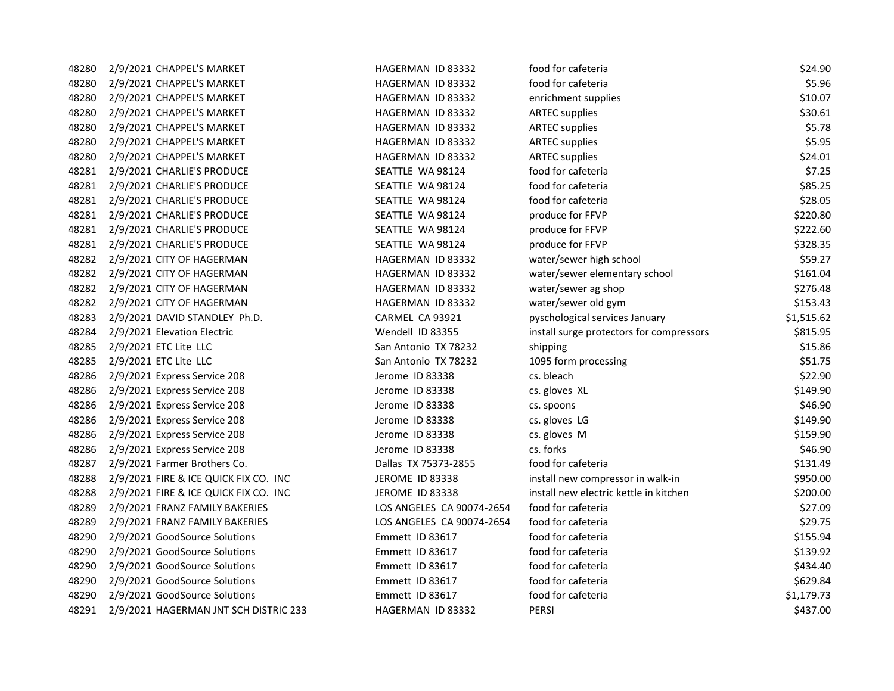| 48280 | 2/9/2021 CHAPPEL'S MARKET             | HAGERMAN ID 83332         | food for cafeteria                       | \$24.90    |
|-------|---------------------------------------|---------------------------|------------------------------------------|------------|
| 48280 | 2/9/2021 CHAPPEL'S MARKET             | HAGERMAN ID 83332         | food for cafeteria                       | \$5.96     |
| 48280 | 2/9/2021 CHAPPEL'S MARKET             | HAGERMAN ID 83332         | enrichment supplies                      | \$10.07    |
| 48280 | 2/9/2021 CHAPPEL'S MARKET             | HAGERMAN ID 83332         | <b>ARTEC supplies</b>                    | \$30.61    |
| 48280 | 2/9/2021 CHAPPEL'S MARKET             | HAGERMAN ID 83332         | <b>ARTEC supplies</b>                    | \$5.78     |
| 48280 | 2/9/2021 CHAPPEL'S MARKET             | HAGERMAN ID 83332         | <b>ARTEC supplies</b>                    | \$5.95     |
| 48280 | 2/9/2021 CHAPPEL'S MARKET             | HAGERMAN ID 83332         | <b>ARTEC supplies</b>                    | \$24.01    |
| 48281 | 2/9/2021 CHARLIE'S PRODUCE            | SEATTLE WA 98124          | food for cafeteria                       | \$7.25     |
| 48281 | 2/9/2021 CHARLIE'S PRODUCE            | SEATTLE WA 98124          | food for cafeteria                       | \$85.25    |
| 48281 | 2/9/2021 CHARLIE'S PRODUCE            | SEATTLE WA 98124          | food for cafeteria                       | \$28.05    |
| 48281 | 2/9/2021 CHARLIE'S PRODUCE            | SEATTLE WA 98124          | produce for FFVP                         | \$220.80   |
| 48281 | 2/9/2021 CHARLIE'S PRODUCE            | SEATTLE WA 98124          | produce for FFVP                         | \$222.60   |
| 48281 | 2/9/2021 CHARLIE'S PRODUCE            | SEATTLE WA 98124          | produce for FFVP                         | \$328.35   |
| 48282 | 2/9/2021 CITY OF HAGERMAN             | HAGERMAN ID 83332         | water/sewer high school                  | \$59.27    |
| 48282 | 2/9/2021 CITY OF HAGERMAN             | HAGERMAN ID 83332         | water/sewer elementary school            | \$161.04   |
| 48282 | 2/9/2021 CITY OF HAGERMAN             | HAGERMAN ID 83332         | water/sewer ag shop                      | \$276.48   |
| 48282 | 2/9/2021 CITY OF HAGERMAN             | HAGERMAN ID 83332         | water/sewer old gym                      | \$153.43   |
| 48283 | 2/9/2021 DAVID STANDLEY Ph.D.         | CARMEL CA 93921           | pyschological services January           | \$1,515.62 |
| 48284 | 2/9/2021 Elevation Electric           | Wendell ID 83355          | install surge protectors for compressors | \$815.95   |
| 48285 | 2/9/2021 ETC Lite LLC                 | San Antonio TX 78232      | shipping                                 | \$15.86    |
| 48285 | 2/9/2021 ETC Lite LLC                 | San Antonio TX 78232      | 1095 form processing                     | \$51.75    |
| 48286 | 2/9/2021 Express Service 208          | Jerome ID 83338           | cs. bleach                               | \$22.90    |
| 48286 | 2/9/2021 Express Service 208          | Jerome ID 83338           | cs. gloves XL                            | \$149.90   |
| 48286 | 2/9/2021 Express Service 208          | Jerome ID 83338           | cs. spoons                               | \$46.90    |
| 48286 | 2/9/2021 Express Service 208          | Jerome ID 83338           | cs. gloves LG                            | \$149.90   |
| 48286 | 2/9/2021 Express Service 208          | Jerome ID 83338           | cs. gloves M                             | \$159.90   |
| 48286 | 2/9/2021 Express Service 208          | Jerome ID 83338           | cs. forks                                | \$46.90    |
| 48287 | 2/9/2021 Farmer Brothers Co.          | Dallas TX 75373-2855      | food for cafeteria                       | \$131.49   |
| 48288 | 2/9/2021 FIRE & ICE QUICK FIX CO. INC | JEROME ID 83338           | install new compressor in walk-in        | \$950.00   |
| 48288 | 2/9/2021 FIRE & ICE QUICK FIX CO. INC | JEROME ID 83338           | install new electric kettle in kitchen   | \$200.00   |
| 48289 | 2/9/2021 FRANZ FAMILY BAKERIES        | LOS ANGELES CA 90074-2654 | food for cafeteria                       | \$27.09    |
| 48289 | 2/9/2021 FRANZ FAMILY BAKERIES        | LOS ANGELES CA 90074-2654 | food for cafeteria                       | \$29.75    |
| 48290 | 2/9/2021 GoodSource Solutions         | Emmett ID 83617           | food for cafeteria                       | \$155.94   |
| 48290 | 2/9/2021 GoodSource Solutions         | Emmett ID 83617           | food for cafeteria                       | \$139.92   |
| 48290 | 2/9/2021 GoodSource Solutions         | Emmett ID 83617           | food for cafeteria                       | \$434.40   |
| 48290 | 2/9/2021 GoodSource Solutions         | Emmett ID 83617           | food for cafeteria                       | \$629.84   |
| 48290 | 2/9/2021 GoodSource Solutions         | Emmett ID 83617           | food for cafeteria                       | \$1,179.73 |
| 48291 | 2/9/2021 HAGERMAN JNT SCH DISTRIC 233 | HAGERMAN ID 83332         | <b>PERSI</b>                             | \$437.00   |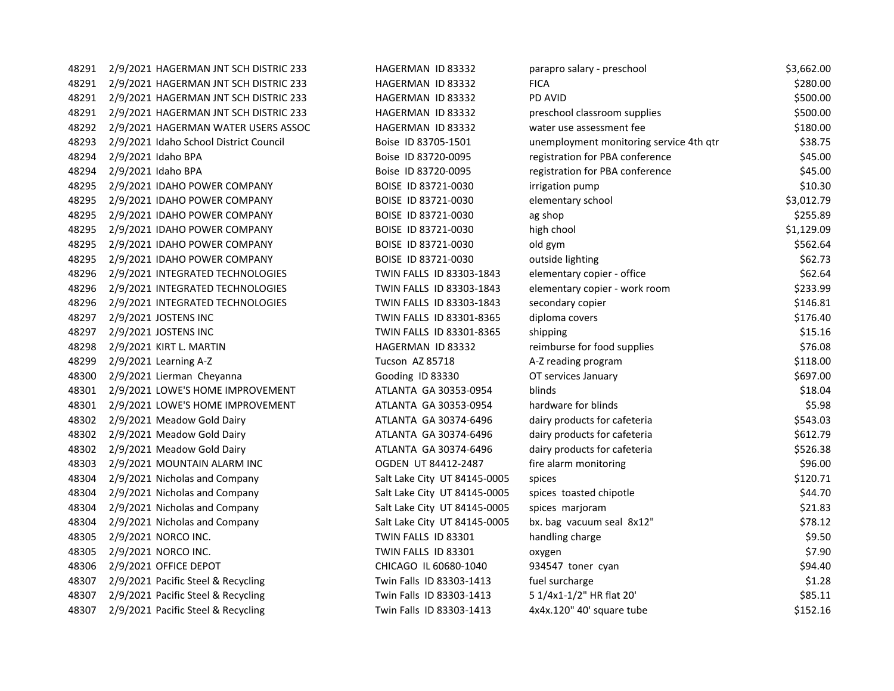| 48291 | 2/9/2021 HAGERMAN JNT SCH DISTRIC 233  | HAGERMAN ID 83332            | parapro salary - preschool              | \$3,662.00 |
|-------|----------------------------------------|------------------------------|-----------------------------------------|------------|
| 48291 | 2/9/2021 HAGERMAN JNT SCH DISTRIC 233  | HAGERMAN ID 83332            | <b>FICA</b>                             | \$280.00   |
| 48291 | 2/9/2021 HAGERMAN JNT SCH DISTRIC 233  | HAGERMAN ID 83332            | PD AVID                                 | \$500.00   |
| 48291 | 2/9/2021 HAGERMAN JNT SCH DISTRIC 233  | HAGERMAN ID 83332            | preschool classroom supplies            | \$500.00   |
| 48292 | 2/9/2021 HAGERMAN WATER USERS ASSOC    | HAGERMAN ID 83332            | water use assessment fee                | \$180.00   |
| 48293 | 2/9/2021 Idaho School District Council | Boise ID 83705-1501          | unemployment monitoring service 4th qtr | \$38.75    |
| 48294 | 2/9/2021 Idaho BPA                     | Boise ID 83720-0095          | registration for PBA conference         | \$45.00    |
| 48294 | 2/9/2021 Idaho BPA                     | Boise ID 83720-0095          | registration for PBA conference         | \$45.00    |
| 48295 | 2/9/2021 IDAHO POWER COMPANY           | BOISE ID 83721-0030          | irrigation pump                         | \$10.30    |
| 48295 | 2/9/2021 IDAHO POWER COMPANY           | BOISE ID 83721-0030          | elementary school                       | \$3,012.79 |
| 48295 | 2/9/2021 IDAHO POWER COMPANY           | BOISE ID 83721-0030          | ag shop                                 | \$255.89   |
| 48295 | 2/9/2021 IDAHO POWER COMPANY           | BOISE ID 83721-0030          | high chool                              | \$1,129.09 |
| 48295 | 2/9/2021 IDAHO POWER COMPANY           | BOISE ID 83721-0030          | old gym                                 | \$562.64   |
| 48295 | 2/9/2021 IDAHO POWER COMPANY           | BOISE ID 83721-0030          | outside lighting                        | \$62.73    |
| 48296 | 2/9/2021 INTEGRATED TECHNOLOGIES       | TWIN FALLS ID 83303-1843     | elementary copier - office              | \$62.64    |
| 48296 | 2/9/2021 INTEGRATED TECHNOLOGIES       | TWIN FALLS ID 83303-1843     | elementary copier - work room           | \$233.99   |
| 48296 | 2/9/2021 INTEGRATED TECHNOLOGIES       | TWIN FALLS ID 83303-1843     | secondary copier                        | \$146.81   |
| 48297 | 2/9/2021 JOSTENS INC                   | TWIN FALLS ID 83301-8365     | diploma covers                          | \$176.40   |
| 48297 | 2/9/2021 JOSTENS INC                   | TWIN FALLS ID 83301-8365     | shipping                                | \$15.16    |
| 48298 | 2/9/2021 KIRT L. MARTIN                | HAGERMAN ID 83332            | reimburse for food supplies             | \$76.08    |
| 48299 | 2/9/2021 Learning A-Z                  | Tucson AZ 85718              | A-Z reading program                     | \$118.00   |
| 48300 | 2/9/2021 Lierman Cheyanna              | Gooding ID 83330             | OT services January                     | \$697.00   |
| 48301 | 2/9/2021 LOWE'S HOME IMPROVEMENT       | ATLANTA GA 30353-0954        | blinds                                  | \$18.04    |
| 48301 | 2/9/2021 LOWE'S HOME IMPROVEMENT       | ATLANTA GA 30353-0954        | hardware for blinds                     | \$5.98     |
| 48302 | 2/9/2021 Meadow Gold Dairy             | ATLANTA GA 30374-6496        | dairy products for cafeteria            | \$543.03   |
| 48302 | 2/9/2021 Meadow Gold Dairy             | ATLANTA GA 30374-6496        | dairy products for cafeteria            | \$612.79   |
| 48302 | 2/9/2021 Meadow Gold Dairy             | ATLANTA GA 30374-6496        | dairy products for cafeteria            | \$526.38   |
| 48303 | 2/9/2021 MOUNTAIN ALARM INC            | OGDEN UT 84412-2487          | fire alarm monitoring                   | \$96.00    |
| 48304 | 2/9/2021 Nicholas and Company          | Salt Lake City UT 84145-0005 | spices                                  | \$120.71   |
| 48304 | 2/9/2021 Nicholas and Company          | Salt Lake City UT 84145-0005 | spices toasted chipotle                 | \$44.70    |
| 48304 | 2/9/2021 Nicholas and Company          | Salt Lake City UT 84145-0005 | spices marjoram                         | \$21.83    |
| 48304 | 2/9/2021 Nicholas and Company          | Salt Lake City UT 84145-0005 | bx. bag vacuum seal 8x12"               | \$78.12    |
| 48305 | 2/9/2021 NORCO INC.                    | TWIN FALLS ID 83301          | handling charge                         | \$9.50     |
| 48305 | 2/9/2021 NORCO INC.                    | TWIN FALLS ID 83301          | oxygen                                  | \$7.90     |
| 48306 | 2/9/2021 OFFICE DEPOT                  | CHICAGO IL 60680-1040        | 934547 toner cyan                       | \$94.40    |
| 48307 | 2/9/2021 Pacific Steel & Recycling     | Twin Falls ID 83303-1413     | fuel surcharge                          | \$1.28     |
| 48307 | 2/9/2021 Pacific Steel & Recycling     | Twin Falls ID 83303-1413     | 5 1/4x1-1/2" HR flat 20'                | \$85.11    |
| 48307 | 2/9/2021 Pacific Steel & Recycling     | Twin Falls ID 83303-1413     | 4x4x.120" 40' square tube               | \$152.16   |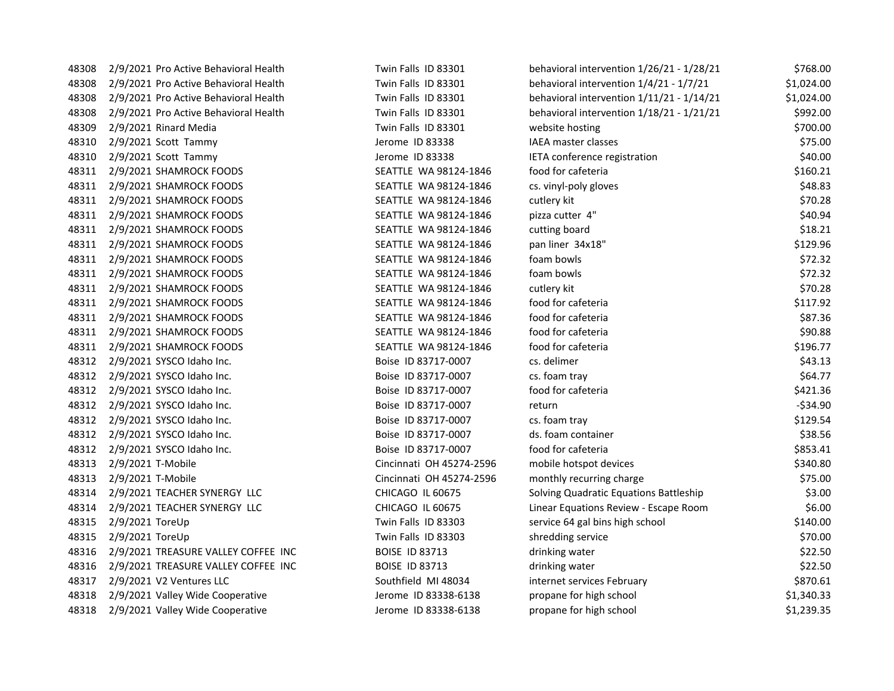| 48308 | 2/9/2021 Pro Active Behavioral Health | Twin Falls ID 83301      | behavioral intervention 1/26/21 - 1/28/21 | \$768.00   |
|-------|---------------------------------------|--------------------------|-------------------------------------------|------------|
| 48308 | 2/9/2021 Pro Active Behavioral Health | Twin Falls ID 83301      | behavioral intervention 1/4/21 - 1/7/21   | \$1,024.00 |
| 48308 | 2/9/2021 Pro Active Behavioral Health | Twin Falls ID 83301      | behavioral intervention 1/11/21 - 1/14/21 | \$1,024.00 |
| 48308 | 2/9/2021 Pro Active Behavioral Health | Twin Falls ID 83301      | behavioral intervention 1/18/21 - 1/21/21 | \$992.00   |
| 48309 | 2/9/2021 Rinard Media                 | Twin Falls ID 83301      | website hosting                           | \$700.00   |
| 48310 | 2/9/2021 Scott Tammy                  | Jerome ID 83338          | IAEA master classes                       | \$75.00    |
| 48310 | 2/9/2021 Scott Tammy                  | Jerome ID 83338          | IETA conference registration              | \$40.00    |
| 48311 | 2/9/2021 SHAMROCK FOODS               | SEATTLE WA 98124-1846    | food for cafeteria                        | \$160.21   |
| 48311 | 2/9/2021 SHAMROCK FOODS               | SEATTLE WA 98124-1846    | cs. vinyl-poly gloves                     | \$48.83    |
| 48311 | 2/9/2021 SHAMROCK FOODS               | SEATTLE WA 98124-1846    | cutlery kit                               | \$70.28    |
| 48311 | 2/9/2021 SHAMROCK FOODS               | SEATTLE WA 98124-1846    | pizza cutter 4"                           | \$40.94    |
| 48311 | 2/9/2021 SHAMROCK FOODS               | SEATTLE WA 98124-1846    | cutting board                             | \$18.21    |
| 48311 | 2/9/2021 SHAMROCK FOODS               | SEATTLE WA 98124-1846    | pan liner 34x18"                          | \$129.96   |
| 48311 | 2/9/2021 SHAMROCK FOODS               | SEATTLE WA 98124-1846    | foam bowls                                | \$72.32    |
| 48311 | 2/9/2021 SHAMROCK FOODS               | SEATTLE WA 98124-1846    | foam bowls                                | \$72.32    |
| 48311 | 2/9/2021 SHAMROCK FOODS               | SEATTLE WA 98124-1846    | cutlery kit                               | \$70.28    |
| 48311 | 2/9/2021 SHAMROCK FOODS               | SEATTLE WA 98124-1846    | food for cafeteria                        | \$117.92   |
| 48311 | 2/9/2021 SHAMROCK FOODS               | SEATTLE WA 98124-1846    | food for cafeteria                        | \$87.36    |
| 48311 | 2/9/2021 SHAMROCK FOODS               | SEATTLE WA 98124-1846    | food for cafeteria                        | \$90.88    |
| 48311 | 2/9/2021 SHAMROCK FOODS               | SEATTLE WA 98124-1846    | food for cafeteria                        | \$196.77   |
| 48312 | 2/9/2021 SYSCO Idaho Inc.             | Boise ID 83717-0007      | cs. delimer                               | \$43.13    |
| 48312 | 2/9/2021 SYSCO Idaho Inc.             | Boise ID 83717-0007      | cs. foam tray                             | \$64.77    |
| 48312 | 2/9/2021 SYSCO Idaho Inc.             | Boise ID 83717-0007      | food for cafeteria                        | \$421.36   |
| 48312 | 2/9/2021 SYSCO Idaho Inc.             | Boise ID 83717-0007      | return                                    | $-534.90$  |
| 48312 | 2/9/2021 SYSCO Idaho Inc.             | Boise ID 83717-0007      | cs. foam tray                             | \$129.54   |
| 48312 | 2/9/2021 SYSCO Idaho Inc.             | Boise ID 83717-0007      | ds. foam container                        | \$38.56    |
| 48312 | 2/9/2021 SYSCO Idaho Inc.             | Boise ID 83717-0007      | food for cafeteria                        | \$853.41   |
| 48313 | 2/9/2021 T-Mobile                     | Cincinnati OH 45274-2596 | mobile hotspot devices                    | \$340.80   |
| 48313 | 2/9/2021 T-Mobile                     | Cincinnati OH 45274-2596 | monthly recurring charge                  | \$75.00    |
| 48314 | 2/9/2021 TEACHER SYNERGY LLC          | CHICAGO IL 60675         | Solving Quadratic Equations Battleship    | \$3.00     |
| 48314 | 2/9/2021 TEACHER SYNERGY LLC          | <b>CHICAGO IL 60675</b>  | Linear Equations Review - Escape Room     | \$6.00     |
| 48315 | 2/9/2021 ToreUp                       | Twin Falls ID 83303      | service 64 gal bins high school           | \$140.00   |
| 48315 | 2/9/2021 ToreUp                       | Twin Falls ID 83303      | shredding service                         | \$70.00    |
| 48316 | 2/9/2021 TREASURE VALLEY COFFEE INC   | <b>BOISE ID 83713</b>    | drinking water                            | \$22.50    |
| 48316 | 2/9/2021 TREASURE VALLEY COFFEE INC   | <b>BOISE ID 83713</b>    | drinking water                            | \$22.50    |
| 48317 | 2/9/2021 V2 Ventures LLC              | Southfield MI 48034      | internet services February                | \$870.61   |
| 48318 | 2/9/2021 Valley Wide Cooperative      | Jerome ID 83338-6138     | propane for high school                   | \$1,340.33 |
| 48318 | 2/9/2021 Valley Wide Cooperative      | Jerome ID 83338-6138     | propane for high school                   | \$1,239.35 |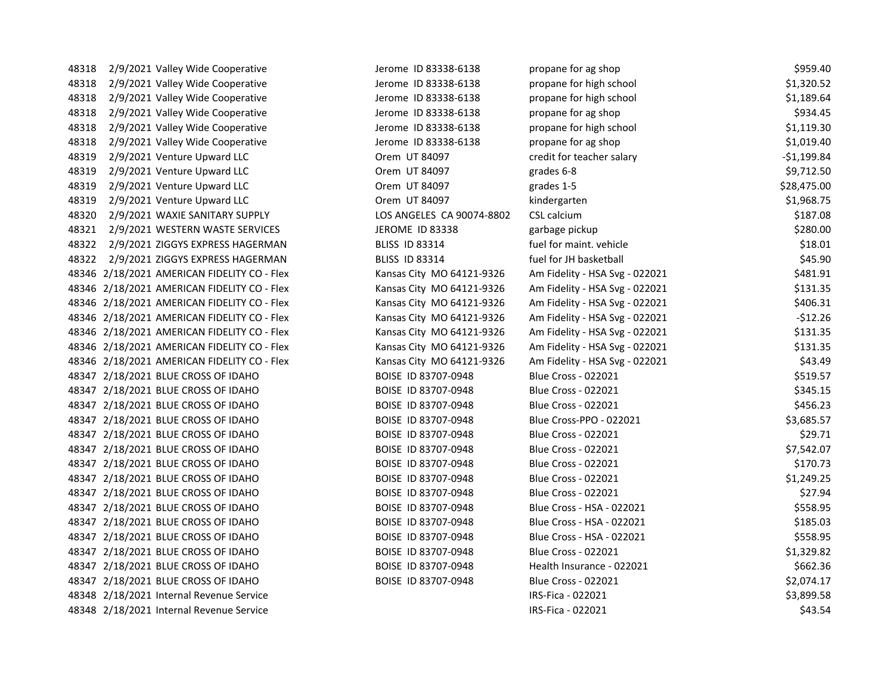| 48318 | 2/9/2021 Valley Wide Cooperative            | Jerome ID 83338-6138      | propane for ag shop            | \$959.40     |
|-------|---------------------------------------------|---------------------------|--------------------------------|--------------|
| 48318 | 2/9/2021 Valley Wide Cooperative            | Jerome ID 83338-6138      | propane for high school        | \$1,320.52   |
| 48318 | 2/9/2021 Valley Wide Cooperative            | Jerome ID 83338-6138      | propane for high school        | \$1,189.64   |
| 48318 | 2/9/2021 Valley Wide Cooperative            | Jerome ID 83338-6138      | propane for ag shop            | \$934.45     |
| 48318 | 2/9/2021 Valley Wide Cooperative            | Jerome ID 83338-6138      | propane for high school        | \$1,119.30   |
| 48318 | 2/9/2021 Valley Wide Cooperative            | Jerome ID 83338-6138      | propane for ag shop            | \$1,019.40   |
| 48319 | 2/9/2021 Venture Upward LLC                 | Orem UT 84097             | credit for teacher salary      | $-51,199.84$ |
| 48319 | 2/9/2021 Venture Upward LLC                 | Orem UT 84097             | grades 6-8                     | \$9,712.50   |
| 48319 | 2/9/2021 Venture Upward LLC                 | Orem UT 84097             | grades 1-5                     | \$28,475.00  |
| 48319 | 2/9/2021 Venture Upward LLC                 | Orem UT 84097             | kindergarten                   | \$1,968.75   |
| 48320 | 2/9/2021 WAXIE SANITARY SUPPLY              | LOS ANGELES CA 90074-8802 | CSL calcium                    | \$187.08     |
| 48321 | 2/9/2021 WESTERN WASTE SERVICES             | JEROME ID 83338           | garbage pickup                 | \$280.00     |
| 48322 | 2/9/2021 ZIGGYS EXPRESS HAGERMAN            | <b>BLISS ID 83314</b>     | fuel for maint. vehicle        | \$18.01      |
| 48322 | 2/9/2021 ZIGGYS EXPRESS HAGERMAN            | <b>BLISS ID 83314</b>     | fuel for JH basketball         | \$45.90      |
|       | 48346 2/18/2021 AMERICAN FIDELITY CO - Flex | Kansas City MO 64121-9326 | Am Fidelity - HSA Svg - 022021 | \$481.91     |
|       | 48346 2/18/2021 AMERICAN FIDELITY CO - Flex | Kansas City MO 64121-9326 | Am Fidelity - HSA Svg - 022021 | \$131.35     |
|       | 48346 2/18/2021 AMERICAN FIDELITY CO - Flex | Kansas City MO 64121-9326 | Am Fidelity - HSA Svg - 022021 | \$406.31     |
|       | 48346 2/18/2021 AMERICAN FIDELITY CO - Flex | Kansas City MO 64121-9326 | Am Fidelity - HSA Svg - 022021 | $-$12.26$    |
|       | 48346 2/18/2021 AMERICAN FIDELITY CO - Flex | Kansas City MO 64121-9326 | Am Fidelity - HSA Svg - 022021 | \$131.35     |
|       | 48346 2/18/2021 AMERICAN FIDELITY CO - Flex | Kansas City MO 64121-9326 | Am Fidelity - HSA Svg - 022021 | \$131.35     |
|       | 48346 2/18/2021 AMERICAN FIDELITY CO - Flex | Kansas City MO 64121-9326 | Am Fidelity - HSA Svg - 022021 | \$43.49      |
|       | 48347 2/18/2021 BLUE CROSS OF IDAHO         | BOISE ID 83707-0948       | <b>Blue Cross - 022021</b>     | \$519.57     |
|       | 48347 2/18/2021 BLUE CROSS OF IDAHO         | BOISE ID 83707-0948       | <b>Blue Cross - 022021</b>     | \$345.15     |
|       | 48347 2/18/2021 BLUE CROSS OF IDAHO         | BOISE ID 83707-0948       | <b>Blue Cross - 022021</b>     | \$456.23     |
|       | 48347 2/18/2021 BLUE CROSS OF IDAHO         | BOISE ID 83707-0948       | Blue Cross-PPO - 022021        | \$3,685.57   |
|       | 48347 2/18/2021 BLUE CROSS OF IDAHO         | BOISE ID 83707-0948       | <b>Blue Cross - 022021</b>     | \$29.71      |
|       | 48347 2/18/2021 BLUE CROSS OF IDAHO         | BOISE ID 83707-0948       | <b>Blue Cross - 022021</b>     | \$7,542.07   |
|       | 48347 2/18/2021 BLUE CROSS OF IDAHO         | BOISE ID 83707-0948       | <b>Blue Cross - 022021</b>     | \$170.73     |
|       | 48347 2/18/2021 BLUE CROSS OF IDAHO         | BOISE ID 83707-0948       | <b>Blue Cross - 022021</b>     | \$1,249.25   |
|       | 48347 2/18/2021 BLUE CROSS OF IDAHO         | BOISE ID 83707-0948       | <b>Blue Cross - 022021</b>     | \$27.94      |
|       | 48347 2/18/2021 BLUE CROSS OF IDAHO         | BOISE ID 83707-0948       | Blue Cross - HSA - 022021      | \$558.95     |
|       | 48347 2/18/2021 BLUE CROSS OF IDAHO         | BOISE ID 83707-0948       | Blue Cross - HSA - 022021      | \$185.03     |
|       | 48347 2/18/2021 BLUE CROSS OF IDAHO         | BOISE ID 83707-0948       | Blue Cross - HSA - 022021      | \$558.95     |
|       | 48347 2/18/2021 BLUE CROSS OF IDAHO         | BOISE ID 83707-0948       | <b>Blue Cross - 022021</b>     | \$1,329.82   |
|       | 48347 2/18/2021 BLUE CROSS OF IDAHO         | BOISE ID 83707-0948       | Health Insurance - 022021      | \$662.36     |
|       | 48347 2/18/2021 BLUE CROSS OF IDAHO         | BOISE ID 83707-0948       | <b>Blue Cross - 022021</b>     | \$2,074.17   |
|       | 48348 2/18/2021 Internal Revenue Service    |                           | IRS-Fica - 022021              | \$3,899.58   |
|       | 48348 2/18/2021 Internal Revenue Service    |                           | IRS-Fica - 022021              | \$43.54      |
|       |                                             |                           |                                |              |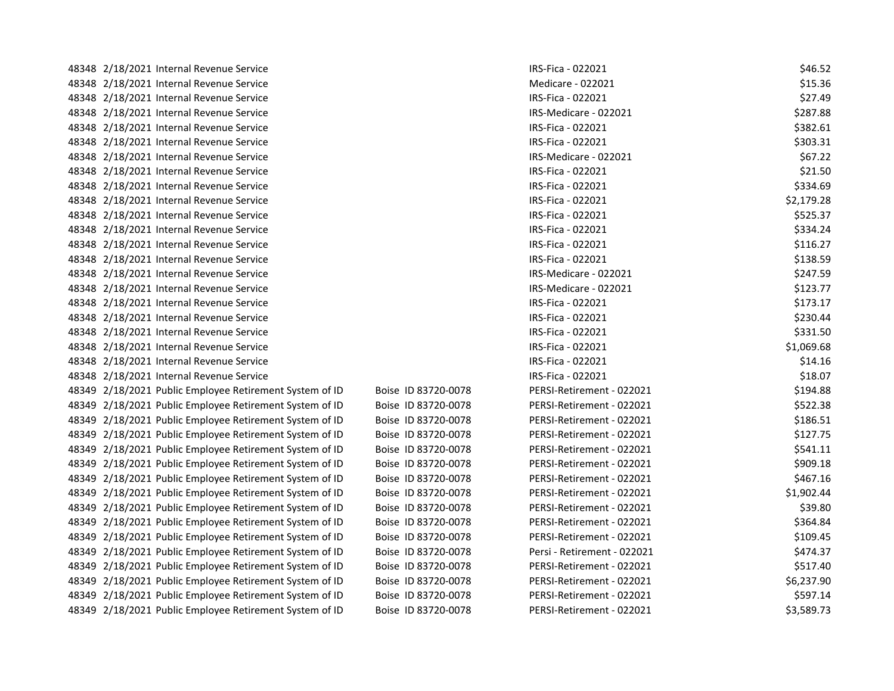| 48348 2/18/2021 Internal Revenue Service                |                     | IRS-Fica - 022021           | \$46.52    |
|---------------------------------------------------------|---------------------|-----------------------------|------------|
| 48348 2/18/2021 Internal Revenue Service                |                     | Medicare - 022021           | \$15.36    |
| 48348 2/18/2021 Internal Revenue Service                |                     | IRS-Fica - 022021           | \$27.49    |
| 48348 2/18/2021 Internal Revenue Service                |                     | IRS-Medicare - 022021       | \$287.88   |
| 48348 2/18/2021 Internal Revenue Service                |                     | IRS-Fica - 022021           | \$382.61   |
| 48348 2/18/2021 Internal Revenue Service                |                     | IRS-Fica - 022021           | \$303.31   |
| 48348 2/18/2021 Internal Revenue Service                |                     | IRS-Medicare - 022021       | \$67.22    |
| 48348 2/18/2021 Internal Revenue Service                |                     | IRS-Fica - 022021           | \$21.50    |
| 48348 2/18/2021 Internal Revenue Service                |                     | IRS-Fica - 022021           | \$334.69   |
| 48348 2/18/2021 Internal Revenue Service                |                     | IRS-Fica - 022021           | \$2,179.28 |
| 48348 2/18/2021 Internal Revenue Service                |                     | IRS-Fica - 022021           | \$525.37   |
| 48348 2/18/2021 Internal Revenue Service                |                     | IRS-Fica - 022021           | \$334.24   |
| 48348 2/18/2021 Internal Revenue Service                |                     | IRS-Fica - 022021           | \$116.27   |
| 48348 2/18/2021 Internal Revenue Service                |                     | IRS-Fica - 022021           | \$138.59   |
| 48348 2/18/2021 Internal Revenue Service                |                     | IRS-Medicare - 022021       | \$247.59   |
| 48348 2/18/2021 Internal Revenue Service                |                     | IRS-Medicare - 022021       | \$123.77   |
| 48348 2/18/2021 Internal Revenue Service                |                     | IRS-Fica - 022021           | \$173.17   |
| 48348 2/18/2021 Internal Revenue Service                |                     | IRS-Fica - 022021           | \$230.44   |
| 48348 2/18/2021 Internal Revenue Service                |                     | IRS-Fica - 022021           | \$331.50   |
| 48348 2/18/2021 Internal Revenue Service                |                     | IRS-Fica - 022021           | \$1,069.68 |
| 48348 2/18/2021 Internal Revenue Service                |                     | IRS-Fica - 022021           | \$14.16    |
| 48348 2/18/2021 Internal Revenue Service                |                     | IRS-Fica - 022021           | \$18.07    |
| 48349 2/18/2021 Public Employee Retirement System of ID | Boise ID 83720-0078 | PERSI-Retirement - 022021   | \$194.88   |
| 48349 2/18/2021 Public Employee Retirement System of ID | Boise ID 83720-0078 | PERSI-Retirement - 022021   | \$522.38   |
| 48349 2/18/2021 Public Employee Retirement System of ID | Boise ID 83720-0078 | PERSI-Retirement - 022021   | \$186.51   |
| 48349 2/18/2021 Public Employee Retirement System of ID | Boise ID 83720-0078 | PERSI-Retirement - 022021   | \$127.75   |
| 48349 2/18/2021 Public Employee Retirement System of ID | Boise ID 83720-0078 | PERSI-Retirement - 022021   | \$541.11   |
| 48349 2/18/2021 Public Employee Retirement System of ID | Boise ID 83720-0078 | PERSI-Retirement - 022021   | \$909.18   |
| 48349 2/18/2021 Public Employee Retirement System of ID | Boise ID 83720-0078 | PERSI-Retirement - 022021   | \$467.16   |
| 48349 2/18/2021 Public Employee Retirement System of ID | Boise ID 83720-0078 | PERSI-Retirement - 022021   | \$1,902.44 |
| 48349 2/18/2021 Public Employee Retirement System of ID | Boise ID 83720-0078 | PERSI-Retirement - 022021   | \$39.80    |
| 48349 2/18/2021 Public Employee Retirement System of ID | Boise ID 83720-0078 | PERSI-Retirement - 022021   | \$364.84   |
| 48349 2/18/2021 Public Employee Retirement System of ID | Boise ID 83720-0078 | PERSI-Retirement - 022021   | \$109.45   |
| 48349 2/18/2021 Public Employee Retirement System of ID | Boise ID 83720-0078 | Persi - Retirement - 022021 | \$474.37   |
| 48349 2/18/2021 Public Employee Retirement System of ID | Boise ID 83720-0078 | PERSI-Retirement - 022021   | \$517.40   |
| 48349 2/18/2021 Public Employee Retirement System of ID | Boise ID 83720-0078 | PERSI-Retirement - 022021   | \$6,237.90 |
| 48349 2/18/2021 Public Employee Retirement System of ID | Boise ID 83720-0078 | PERSI-Retirement - 022021   | \$597.14   |
| 48349 2/18/2021 Public Employee Retirement System of ID | Boise ID 83720-0078 | PERSI-Retirement - 022021   | \$3,589.73 |